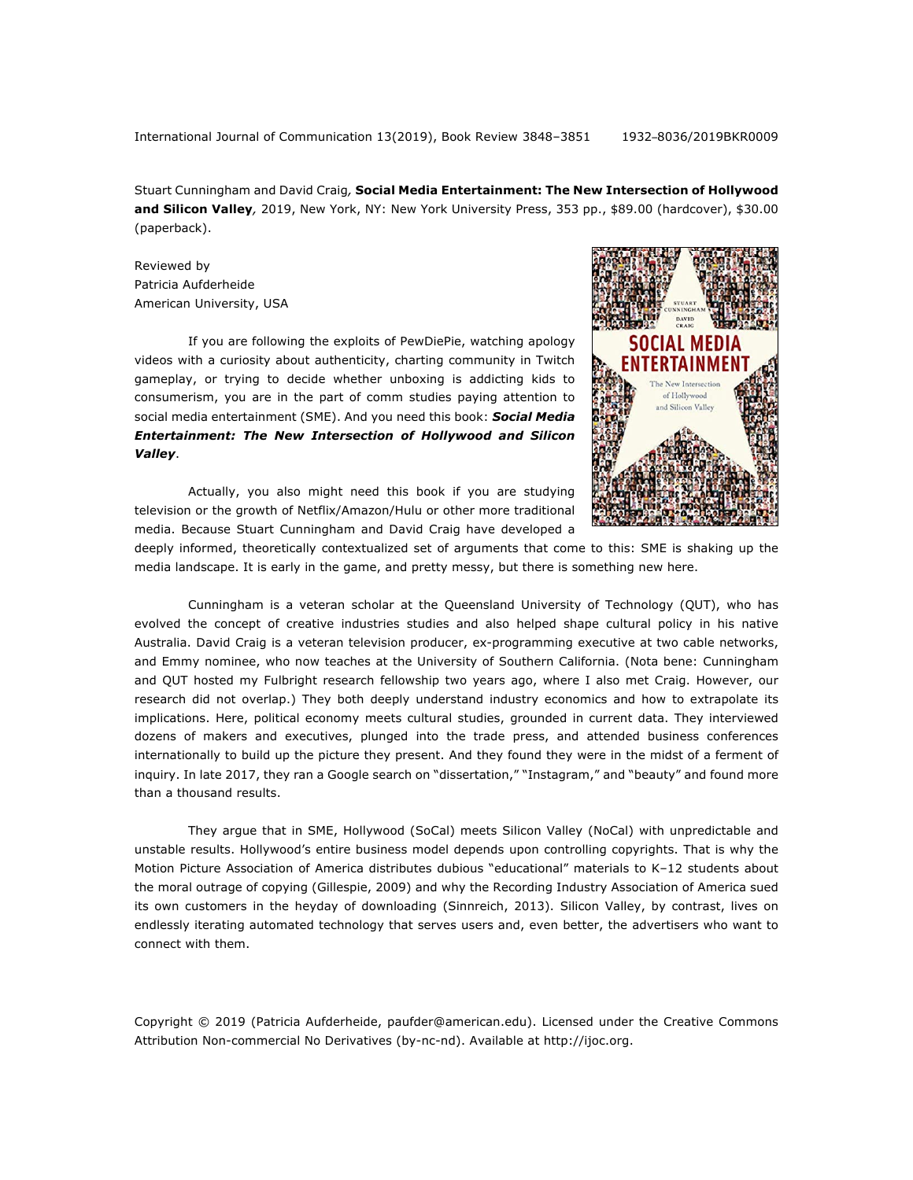International Journal of Communication 13(2019), Book Review 3848–3851 1932–8036/2019BKR0009

Stuart Cunningham and David Craig*,* **Social Media Entertainment: The New Intersection of Hollywood and Silicon Valley***,* 2019, New York, NY: New York University Press, 353 pp., \$89.00 (hardcover), \$30.00 (paperback).

Reviewed by Patricia Aufderheide American University, USA

If you are following the exploits of PewDiePie, watching apology videos with a curiosity about authenticity, charting community in Twitch gameplay, or trying to decide whether unboxing is addicting kids to consumerism, you are in the part of comm studies paying attention to social media entertainment (SME). And you need this book: *Social Media Entertainment: The New Intersection of Hollywood and Silicon Valley*.



Actually, you also might need this book if you are studying television or the growth of Netflix/Amazon/Hulu or other more traditional media. Because Stuart Cunningham and David Craig have developed a

deeply informed, theoretically contextualized set of arguments that come to this: SME is shaking up the media landscape. It is early in the game, and pretty messy, but there is something new here.

Cunningham is a veteran scholar at the Queensland University of Technology (QUT), who has evolved the concept of creative industries studies and also helped shape cultural policy in his native Australia. David Craig is a veteran television producer, ex-programming executive at two cable networks, and Emmy nominee, who now teaches at the University of Southern California. (Nota bene: Cunningham and QUT hosted my Fulbright research fellowship two years ago, where I also met Craig. However, our research did not overlap.) They both deeply understand industry economics and how to extrapolate its implications. Here, political economy meets cultural studies, grounded in current data. They interviewed dozens of makers and executives, plunged into the trade press, and attended business conferences internationally to build up the picture they present. And they found they were in the midst of a ferment of inquiry. In late 2017, they ran a Google search on "dissertation," "Instagram," and "beauty" and found more than a thousand results.

They argue that in SME, Hollywood (SoCal) meets Silicon Valley (NoCal) with unpredictable and unstable results. Hollywood's entire business model depends upon controlling copyrights. That is why the Motion Picture Association of America distributes dubious "educational" materials to K–12 students about the moral outrage of copying (Gillespie, 2009) and why the Recording Industry Association of America sued its own customers in the heyday of downloading (Sinnreich, 2013). Silicon Valley, by contrast, lives on endlessly iterating automated technology that serves users and, even better, the advertisers who want to connect with them.

Copyright © 2019 (Patricia Aufderheide, paufder@american.edu). Licensed under the Creative Commons Attribution Non-commercial No Derivatives (by-nc-nd). Available at http://ijoc.org.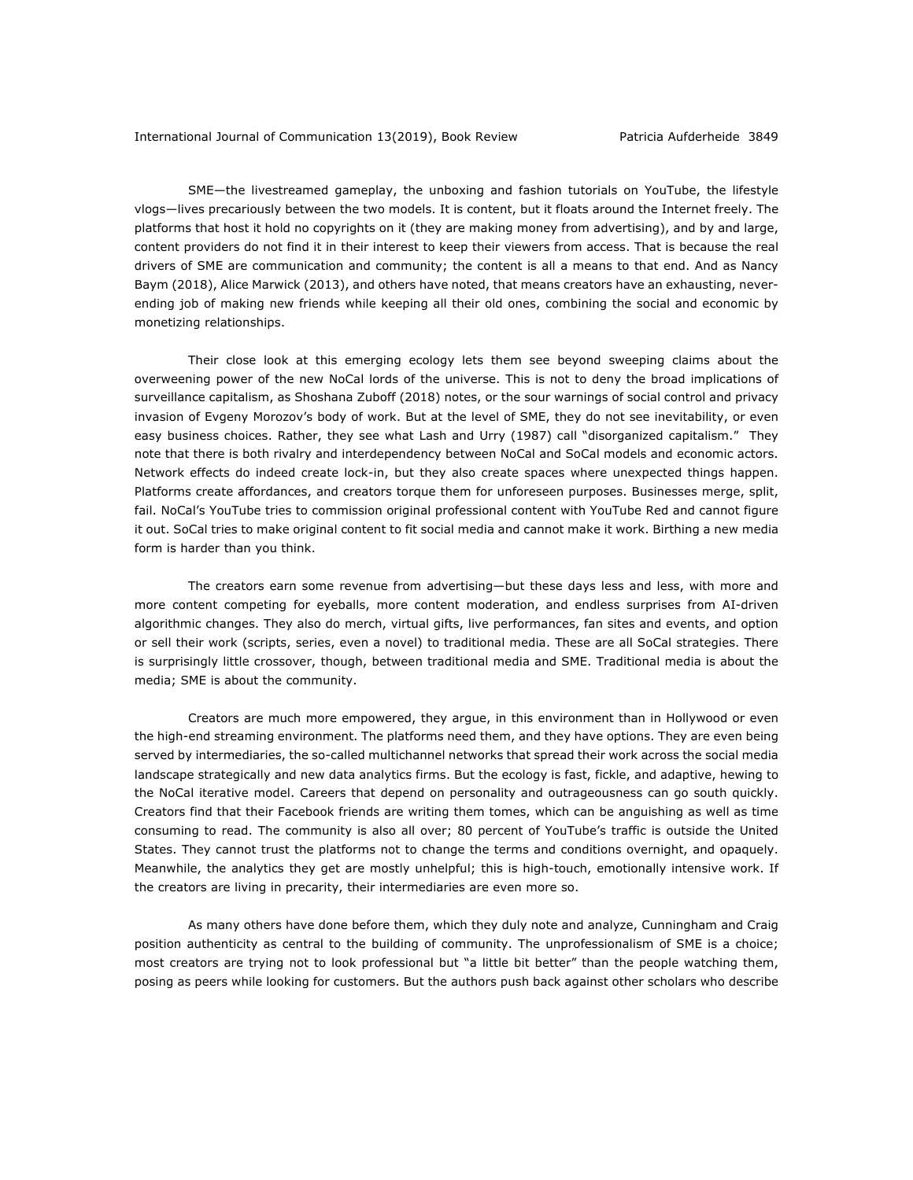SME—the livestreamed gameplay, the unboxing and fashion tutorials on YouTube, the lifestyle vlogs—lives precariously between the two models. It is content, but it floats around the Internet freely. The platforms that host it hold no copyrights on it (they are making money from advertising), and by and large, content providers do not find it in their interest to keep their viewers from access. That is because the real drivers of SME are communication and community; the content is all a means to that end. And as Nancy Baym (2018), Alice Marwick (2013), and others have noted, that means creators have an exhausting, neverending job of making new friends while keeping all their old ones, combining the social and economic by monetizing relationships.

Their close look at this emerging ecology lets them see beyond sweeping claims about the overweening power of the new NoCal lords of the universe. This is not to deny the broad implications of surveillance capitalism, as Shoshana Zuboff (2018) notes, or the sour warnings of social control and privacy invasion of Evgeny Morozov's body of work. But at the level of SME, they do not see inevitability, or even easy business choices. Rather, they see what Lash and Urry (1987) call "disorganized capitalism." They note that there is both rivalry and interdependency between NoCal and SoCal models and economic actors. Network effects do indeed create lock-in, but they also create spaces where unexpected things happen. Platforms create affordances, and creators torque them for unforeseen purposes. Businesses merge, split, fail. NoCal's YouTube tries to commission original professional content with YouTube Red and cannot figure it out. SoCal tries to make original content to fit social media and cannot make it work. Birthing a new media form is harder than you think.

The creators earn some revenue from advertising—but these days less and less, with more and more content competing for eyeballs, more content moderation, and endless surprises from AI-driven algorithmic changes. They also do merch, virtual gifts, live performances, fan sites and events, and option or sell their work (scripts, series, even a novel) to traditional media. These are all SoCal strategies. There is surprisingly little crossover, though, between traditional media and SME. Traditional media is about the media; SME is about the community.

Creators are much more empowered, they argue, in this environment than in Hollywood or even the high-end streaming environment. The platforms need them, and they have options. They are even being served by intermediaries, the so-called multichannel networks that spread their work across the social media landscape strategically and new data analytics firms. But the ecology is fast, fickle, and adaptive, hewing to the NoCal iterative model. Careers that depend on personality and outrageousness can go south quickly. Creators find that their Facebook friends are writing them tomes, which can be anguishing as well as time consuming to read. The community is also all over; 80 percent of YouTube's traffic is outside the United States. They cannot trust the platforms not to change the terms and conditions overnight, and opaquely. Meanwhile, the analytics they get are mostly unhelpful; this is high-touch, emotionally intensive work. If the creators are living in precarity, their intermediaries are even more so.

As many others have done before them, which they duly note and analyze, Cunningham and Craig position authenticity as central to the building of community. The unprofessionalism of SME is a choice; most creators are trying not to look professional but "a little bit better" than the people watching them, posing as peers while looking for customers. But the authors push back against other scholars who describe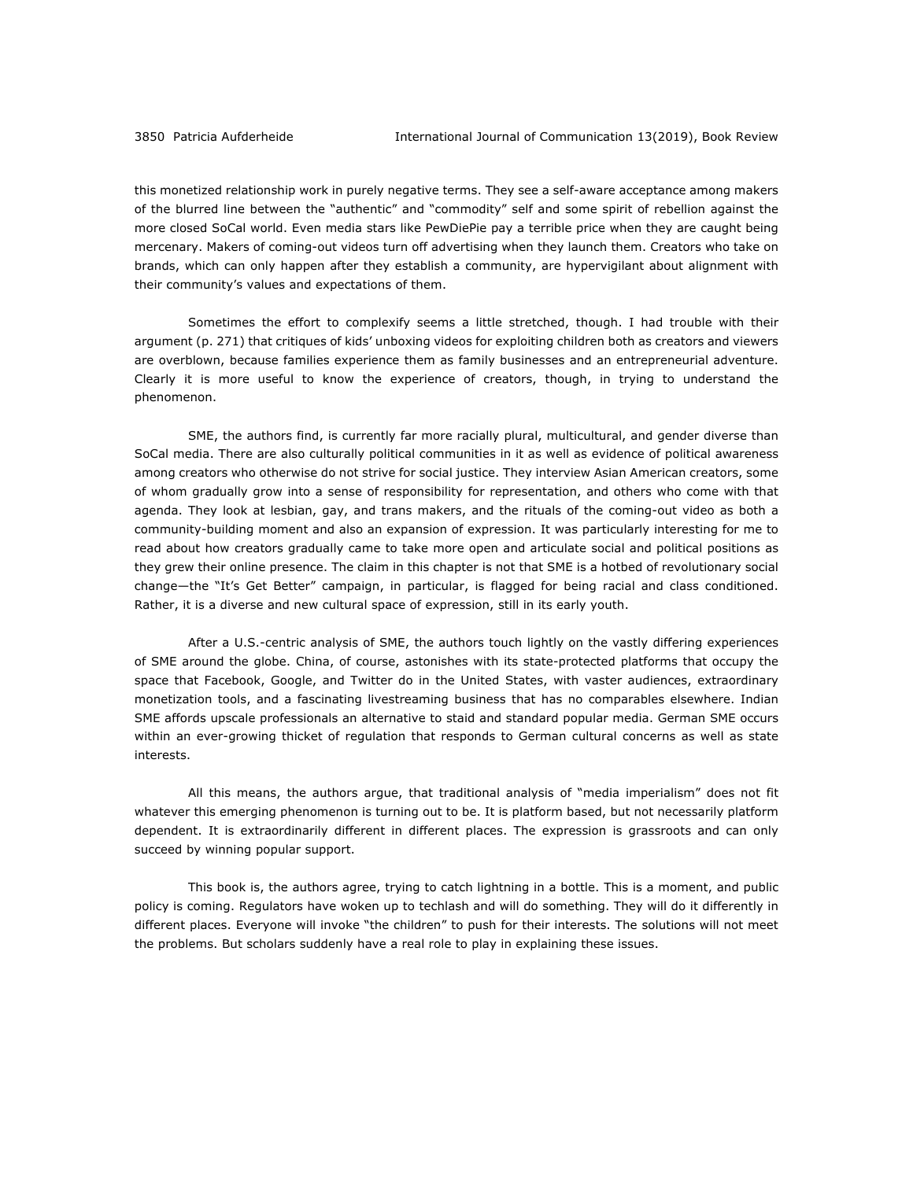this monetized relationship work in purely negative terms. They see a self-aware acceptance among makers of the blurred line between the "authentic" and "commodity" self and some spirit of rebellion against the more closed SoCal world. Even media stars like PewDiePie pay a terrible price when they are caught being mercenary. Makers of coming-out videos turn off advertising when they launch them. Creators who take on brands, which can only happen after they establish a community, are hypervigilant about alignment with their community's values and expectations of them.

Sometimes the effort to complexify seems a little stretched, though. I had trouble with their argument (p. 271) that critiques of kids' unboxing videos for exploiting children both as creators and viewers are overblown, because families experience them as family businesses and an entrepreneurial adventure. Clearly it is more useful to know the experience of creators, though, in trying to understand the phenomenon.

SME, the authors find, is currently far more racially plural, multicultural, and gender diverse than SoCal media. There are also culturally political communities in it as well as evidence of political awareness among creators who otherwise do not strive for social justice. They interview Asian American creators, some of whom gradually grow into a sense of responsibility for representation, and others who come with that agenda. They look at lesbian, gay, and trans makers, and the rituals of the coming-out video as both a community-building moment and also an expansion of expression. It was particularly interesting for me to read about how creators gradually came to take more open and articulate social and political positions as they grew their online presence. The claim in this chapter is not that SME is a hotbed of revolutionary social change—the "It's Get Better" campaign, in particular, is flagged for being racial and class conditioned. Rather, it is a diverse and new cultural space of expression, still in its early youth.

After a U.S.-centric analysis of SME, the authors touch lightly on the vastly differing experiences of SME around the globe. China, of course, astonishes with its state-protected platforms that occupy the space that Facebook, Google, and Twitter do in the United States, with vaster audiences, extraordinary monetization tools, and a fascinating livestreaming business that has no comparables elsewhere. Indian SME affords upscale professionals an alternative to staid and standard popular media. German SME occurs within an ever-growing thicket of regulation that responds to German cultural concerns as well as state interests.

All this means, the authors argue, that traditional analysis of "media imperialism" does not fit whatever this emerging phenomenon is turning out to be. It is platform based, but not necessarily platform dependent. It is extraordinarily different in different places. The expression is grassroots and can only succeed by winning popular support.

This book is, the authors agree, trying to catch lightning in a bottle. This is a moment, and public policy is coming. Regulators have woken up to techlash and will do something. They will do it differently in different places. Everyone will invoke "the children" to push for their interests. The solutions will not meet the problems. But scholars suddenly have a real role to play in explaining these issues.